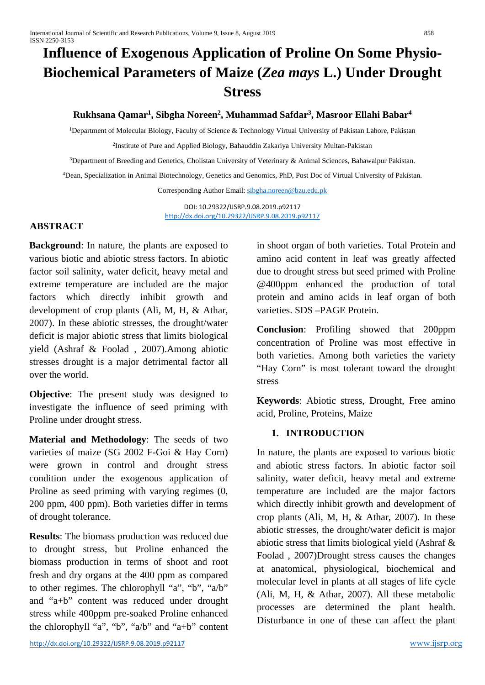# **Influence of Exogenous Application of Proline On Some Physio-Biochemical Parameters of Maize (***Zea mays* **L.) Under Drought Stress**

# **Rukhsana Qamar1, Sibgha Noreen2 , Muhammad Safdar3, Masroor Ellahi Babar4**

1Department of Molecular Biology, Faculty of Science & Technology Virtual University of Pakistan Lahore, Pakistan

2Institute of Pure and Applied Biology, Bahauddin Zakariya University Multan-Pakistan

3Department of Breeding and Genetics, Cholistan University of Veterinary & Animal Sciences, Bahawalpur Pakistan.

4Dean, Specialization in Animal Biotechnology, Genetics and Genomics, PhD, Post Doc of Virtual University of Pakistan.

Corresponding Author Email[: sibgha.noreen@bzu.edu.pk](mailto:sibgha.noreen@bzu.edu.pk)

DOI: 10.29322/IJSRP.9.08.2019.p92117 <http://dx.doi.org/10.29322/IJSRP.9.08.2019.p92117>

## **ABSTRACT**

**Background**: In nature, the plants are exposed to various biotic and abiotic stress factors. In abiotic factor soil salinity, water deficit, heavy metal and extreme temperature are included are the major factors which directly inhibit growth and development of crop plants (Ali, M, H, & Athar, 2007). In these abiotic stresses, the drought/water deficit is major abiotic stress that limits biological yield (Ashraf & Foolad , 2007).Among abiotic stresses drought is a major detrimental factor all over the world.

**Objective**: The present study was designed to investigate the influence of seed priming with Proline under drought stress.

**Material and Methodology**: The seeds of two varieties of maize (SG 2002 F-Goi & Hay Corn) were grown in control and drought stress condition under the exogenous application of Proline as seed priming with varying regimes (0, 200 ppm, 400 ppm). Both varieties differ in terms of drought tolerance.

**Results**: The biomass production was reduced due to drought stress, but Proline enhanced the biomass production in terms of shoot and root fresh and dry organs at the 400 ppm as compared to other regimes. The chlorophyll "a", "b", "a/b" and "a+b" content was reduced under drought stress while 400ppm pre-soaked Proline enhanced the chlorophyll "a", "b", "a/b" and "a+b" content in shoot organ of both varieties. Total Protein and amino acid content in leaf was greatly affected due to drought stress but seed primed with Proline @400ppm enhanced the production of total protein and amino acids in leaf organ of both varieties. SDS –PAGE Protein.

**Conclusion**: Profiling showed that 200ppm concentration of Proline was most effective in both varieties. Among both varieties the variety "Hay Corn" is most tolerant toward the drought stress

**Keywords**: Abiotic stress, Drought, Free amino acid, Proline, Proteins, Maize

# **1. INTRODUCTION**

In nature, the plants are exposed to various biotic and abiotic stress factors. In abiotic factor soil salinity, water deficit, heavy metal and extreme temperature are included are the major factors which directly inhibit growth and development of crop plants (Ali, M, H, & Athar, 2007). In these abiotic stresses, the drought/water deficit is major abiotic stress that limits biological yield (Ashraf & Foolad , 2007)Drought stress causes the changes at anatomical, physiological, biochemical and molecular level in plants at all stages of life cycle (Ali, M, H, & Athar, 2007). All these metabolic processes are determined the plant health. Disturbance in one of these can affect the plant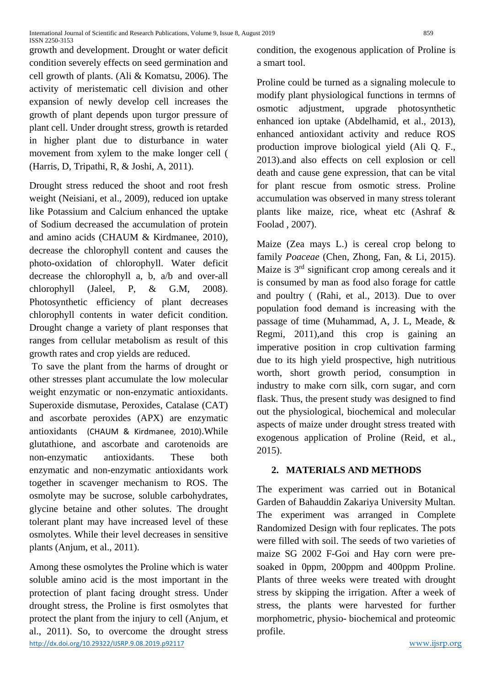growth and development. Drought or water deficit condition severely effects on seed germination and cell growth of plants. (Ali & Komatsu, 2006). The activity of meristematic cell division and other expansion of newly develop cell increases the growth of plant depends upon turgor pressure of plant cell. Under drought stress, growth is retarded in higher plant due to disturbance in water movement from xylem to the make longer cell ( (Harris, D, Tripathi, R, & Joshi, A, 2011).

Drought stress reduced the shoot and root fresh weight (Neisiani, et al., 2009), reduced ion uptake like Potassium and Calcium enhanced the uptake of Sodium decreased the accumulation of protein and amino acids (CHAUM & Kirdmanee, 2010), decrease the chlorophyll content and causes the photo-oxidation of chlorophyll. Water deficit decrease the chlorophyll a, b, a/b and over-all chlorophyll (Jaleel, P, & G.M, 2008). Photosynthetic efficiency of plant decreases chlorophyll contents in water deficit condition. Drought change a variety of plant responses that ranges from cellular metabolism as result of this growth rates and crop yields are reduced.

To save the plant from the harms of drought or other stresses plant accumulate the low molecular weight enzymatic or non-enzymatic antioxidants. Superoxide dismutase, Peroxides, Catalase (CAT) and ascorbate peroxides (APX) are enzymatic antioxidants (CHAUM & Kirdmanee, 2010).While glutathione, and ascorbate and carotenoids are non-enzymatic antioxidants. These both enzymatic and non-enzymatic antioxidants work together in scavenger mechanism to ROS. The osmolyte may be sucrose, soluble carbohydrates, glycine betaine and other solutes. The drought tolerant plant may have increased level of these osmolytes. While their level decreases in sensitive plants (Anjum, et al., 2011).

<http://dx.doi.org/10.29322/IJSRP.9.08.2019.p92117> [www.ijsrp.org](http://ijsrp.org/) Among these osmolytes the Proline which is water soluble amino acid is the most important in the protection of plant facing drought stress. Under drought stress, the Proline is first osmolytes that protect the plant from the injury to cell (Anjum, et al., 2011). So, to overcome the drought stress

condition, the exogenous application of Proline is a smart tool.

Proline could be turned as a signaling molecule to modify plant physiological functions in termns of osmotic adjustment, upgrade photosynthetic enhanced ion uptake (Abdelhamid, et al., 2013), enhanced antioxidant activity and reduce ROS production improve biological yield (Ali Q. F., 2013).and also effects on cell explosion or cell death and cause gene expression, that can be vital for plant rescue from osmotic stress. Proline accumulation was observed in many stress tolerant plants like maize, rice, wheat etc (Ashraf  $\&$ Foolad , 2007).

Maize (Zea mays L.) is cereal crop belong to family *Poaceae* (Chen, Zhong, Fan, & Li, 2015). Maize is 3<sup>rd</sup> significant crop among cereals and it is consumed by man as food also forage for cattle and poultry ( (Rahi, et al., 2013). Due to over population food demand is increasing with the passage of time (Muhammad, A, J. L, Meade, & Regmi, 2011),and this crop is gaining an imperative position in crop cultivation farming due to its high yield prospective, high nutritious worth, short growth period, consumption in industry to make corn silk, corn sugar, and corn flask. Thus, the present study was designed to find out the physiological, biochemical and molecular aspects of maize under drought stress treated with exogenous application of Proline (Reid, et al., 2015).

# **2. MATERIALS AND METHODS**

The experiment was carried out in Botanical Garden of Bahauddin Zakariya University Multan. The experiment was arranged in Complete Randomized Design with four replicates. The pots were filled with soil. The seeds of two varieties of maize SG 2002 F-Goi and Hay corn were presoaked in 0ppm, 200ppm and 400ppm Proline. Plants of three weeks were treated with drought stress by skipping the irrigation. After a week of stress, the plants were harvested for further morphometric, physio- biochemical and proteomic profile.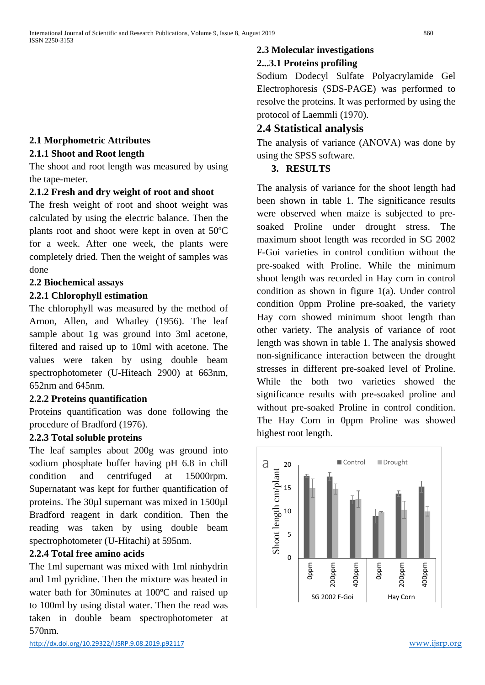#### **2.1 Morphometric Attributes**

#### **2.1.1 Shoot and Root length**

The shoot and root length was measured by using the tape-meter.

#### **2.1.2 Fresh and dry weight of root and shoot**

The fresh weight of root and shoot weight was calculated by using the electric balance. Then the plants root and shoot were kept in oven at 50ºC for a week. After one week, the plants were completely dried. Then the weight of samples was done

#### **2.2 Biochemical assays**

#### **2.2.1 Chlorophyll estimation**

The chlorophyll was measured by the method of Arnon, Allen, and Whatley (1956). The leaf sample about 1g was ground into 3ml acetone, filtered and raised up to 10ml with acetone. The values were taken by using double beam spectrophotometer (U-Hiteach 2900) at 663nm, 652nm and 645nm.

#### **2.2.2 Proteins quantification**

Proteins quantification was done following the procedure of Bradford (1976).

#### **2.2.3 Total soluble proteins**

The leaf samples about 200g was ground into sodium phosphate buffer having pH 6.8 in chill condition and centrifuged at 15000rpm. Supernatant was kept for further quantification of proteins. The 30µl supernant was mixed in 1500µl Bradford reagent in dark condition. Then the reading was taken by using double beam spectrophotometer (U-Hitachi) at 595nm.

#### **2.2.4 Total free amino acids**

The 1ml supernant was mixed with 1ml ninhydrin and 1ml pyridine. Then the mixture was heated in water bath for 30minutes at 100ºC and raised up to 100ml by using distal water. Then the read was taken in double beam spectrophotometer at 570nm.

## **2.3 Molecular investigations**

#### **2...3.1 Proteins profiling**

Sodium Dodecyl Sulfate Polyacrylamide Gel Electrophoresis (SDS-PAGE) was performed to resolve the proteins. It was performed by using the protocol of Laemmli (1970).

#### **2.4 Statistical analysis**

The analysis of variance (ANOVA) was done by using the SPSS software.

#### **3. RESULTS**

The analysis of variance for the shoot length had been shown in table 1. The significance results were observed when maize is subjected to presoaked Proline under drought stress. The maximum shoot length was recorded in SG 2002 F-Goi varieties in control condition without the pre-soaked with Proline. While the minimum shoot length was recorded in Hay corn in control condition as shown in figure 1(a). Under control condition 0ppm Proline pre-soaked, the variety Hay corn showed minimum shoot length than other variety. The analysis of variance of root length was shown in table 1. The analysis showed non-significance interaction between the drought stresses in different pre-soaked level of Proline. While the both two varieties showed the significance results with pre-soaked proline and without pre-soaked Proline in control condition. The Hay Corn in 0ppm Proline was showed highest root length.

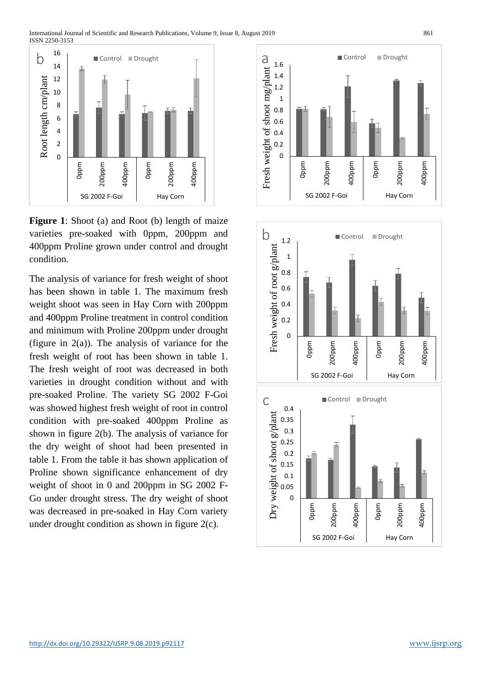

**Figure 1**: Shoot (a) and Root (b) length of maize varieties pre-soaked with 0ppm, 200ppm and 400ppm Proline grown under control and drought condition.

The analysis of variance for fresh weight of shoot has been shown in table 1. The maximum fresh weight shoot was seen in Hay Corn with 200ppm and 400ppm Proline treatment in control condition and minimum with Proline 200ppm under drought (figure in  $2(a)$ ). The analysis of variance for the fresh weight of root has been shown in table 1. The fresh weight of root was decreased in both varieties in drought condition without and with pre-soaked Proline. The variety SG 2002 F-Goi was showed highest fresh weight of root in control condition with pre-soaked 400ppm Proline as shown in figure 2(b). The analysis of variance for the dry weight of shoot had been presented in table 1. From the table it has shown application of Proline shown significance enhancement of dry weight of shoot in 0 and 200ppm in SG 2002 F-Go under drought stress. The dry weight of shoot was decreased in pre-soaked in Hay Corn variety under drought condition as shown in figure 2(c).



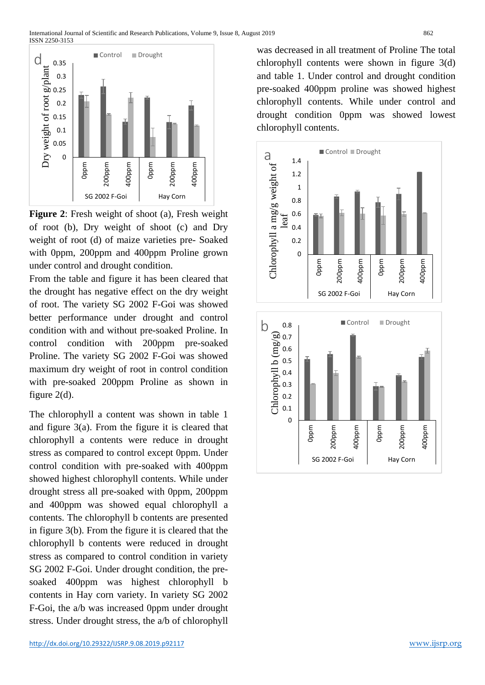

**Figure 2**: Fresh weight of shoot (a), Fresh weight of root (b), Dry weight of shoot (c) and Dry weight of root (d) of maize varieties pre- Soaked with 0ppm, 200ppm and 400ppm Proline grown under control and drought condition.

From the table and figure it has been cleared that the drought has negative effect on the dry weight of root. The variety SG 2002 F-Goi was showed better performance under drought and control condition with and without pre-soaked Proline. In control condition with 200ppm pre-soaked Proline. The variety SG 2002 F-Goi was showed maximum dry weight of root in control condition with pre-soaked 200ppm Proline as shown in figure 2(d).

The chlorophyll a content was shown in table 1 and figure 3(a). From the figure it is cleared that chlorophyll a contents were reduce in drought stress as compared to control except 0ppm. Under control condition with pre-soaked with 400ppm showed highest chlorophyll contents. While under drought stress all pre-soaked with 0ppm, 200ppm and 400ppm was showed equal chlorophyll a contents. The chlorophyll b contents are presented in figure 3(b). From the figure it is cleared that the chlorophyll b contents were reduced in drought stress as compared to control condition in variety SG 2002 F-Goi. Under drought condition, the presoaked 400ppm was highest chlorophyll b contents in Hay corn variety. In variety SG 2002 F-Goi, the a/b was increased 0ppm under drought stress. Under drought stress, the a/b of chlorophyll

was decreased in all treatment of Proline The total chlorophyll contents were shown in figure 3(d) and table 1. Under control and drought condition pre-soaked 400ppm proline was showed highest chlorophyll contents. While under control and drought condition 0ppm was showed lowest chlorophyll contents.

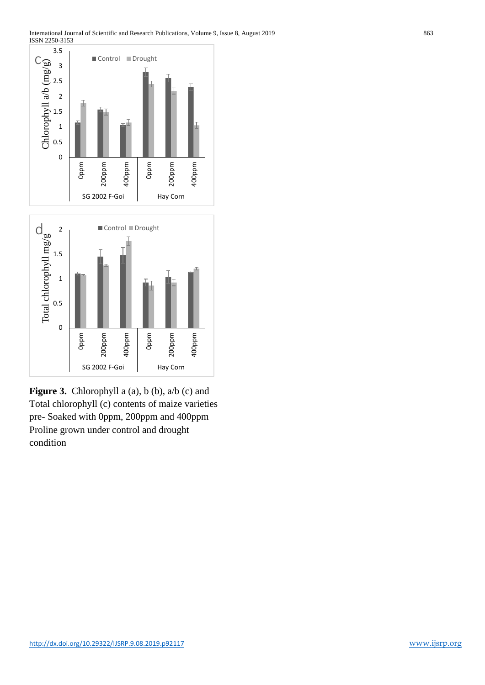



**Figure 3.** Chlorophyll a (a), b (b), a/b (c) and Total chlorophyll (c) contents of maize varieties pre- Soaked with 0ppm, 200ppm and 400ppm Proline grown under control and drought condition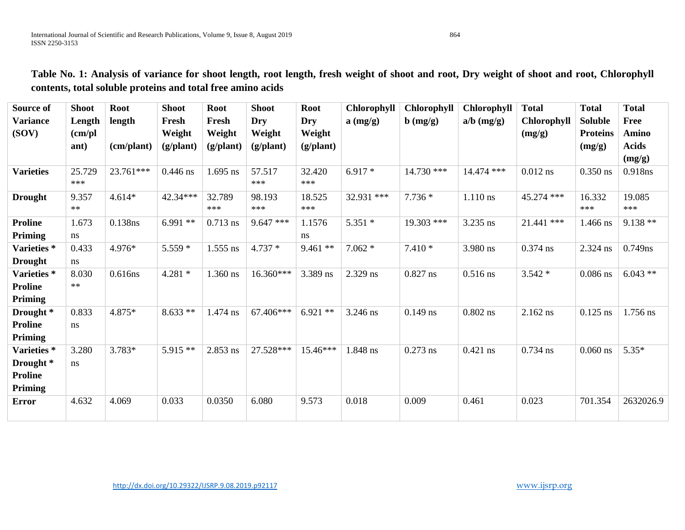| Source of            | <b>Shoot</b> | <b>Root</b> | <b>Shoot</b> | <b>Root</b>        | <b>Shoot</b>       | <b>Root</b>        | <b>Chlorophyll</b> | Chlorophyll         | <b>Chlorophyll</b> | <b>Total</b>       | <b>Total</b>    | <b>Total</b> |
|----------------------|--------------|-------------|--------------|--------------------|--------------------|--------------------|--------------------|---------------------|--------------------|--------------------|-----------------|--------------|
| <b>Variance</b>      | Length       | length      | Fresh        | Fresh              | Dry                | <b>Dry</b>         | $a$ (mg/g)         | $\mathbf{b}$ (mg/g) | $a/b \ (mg/g)$     | <b>Chlorophyll</b> | <b>Soluble</b>  | Free         |
| (SOV)                | (cm/pl)      |             | Weight       | Weight             | Weight             | Weight             |                    |                     |                    | (mg/g)             | <b>Proteins</b> | Amino        |
|                      | ant)         | (cm/plant)  | (g/plant)    | $(g/\text{plant})$ | $(g/\text{plant})$ | $(g/\text{plant})$ |                    |                     |                    |                    | (mg/g)          | <b>Acids</b> |
|                      |              |             |              |                    |                    |                    |                    |                     |                    |                    |                 | (mg/g)       |
| <b>Varieties</b>     | 25.729       | 23.761***   | $0.446$ ns   | $1.695$ ns         | 57.517             | 32.420             | $6.917*$           | $14.730$ ***        | 14.474 ***         | $0.012$ ns         | $0.350$ ns      | 0.918ns      |
|                      | ***          |             |              |                    | ***                | ***                |                    |                     |                    |                    |                 |              |
| <b>Drought</b>       | 9.357        | $4.614*$    | 42.34***     | 32.789             | 98.193             | 18.525             | 32.931 ***         | $7.736*$            | $1.110$ ns         | 45.274 ***         | 16.332          | 19.085       |
|                      | $***$        |             |              | ***                | ***                | ***                |                    |                     |                    |                    | ***             | ***          |
| <b>Proline</b>       | 1.673        | 0.138ns     | $6.991**$    | $0.713$ ns         | $9.647$ ***        | 1.1576             | $5.351*$           | 19.303 ***          | 3.235 ns           | 21.441 ***         | 1.466 ns        | $9.138**$    |
| <b>Priming</b>       | ns           |             |              |                    |                    | ns                 |                    |                     |                    |                    |                 |              |
| Varieties *          | 0.433        | 4.976*      | $5.559*$     | $1.555$ ns         | $4.737*$           | $9.461$ **         | $7.062*$           | $7.410*$            | 3.980 ns           | $0.374$ ns         | 2.324 ns        | 0.749ns      |
| <b>Drought</b>       | ns           |             |              |                    |                    |                    |                    |                     |                    |                    |                 |              |
| Varieties *          | 8.030        | 0.616ns     | $4.281*$     | 1.360 ns           | 16.360***          | 3.389 ns           | 2.329 ns           | $0.827$ ns          | $0.516$ ns         | $3.542*$           | $0.086$ ns      | $6.043**$    |
| <b>Proline</b>       | $**$         |             |              |                    |                    |                    |                    |                     |                    |                    |                 |              |
| <b>Priming</b>       |              |             |              |                    |                    |                    |                    |                     |                    |                    |                 |              |
| Drought <sup>*</sup> | 0.833        | 4.875*      | $8.633**$    | 1.474 ns           | 67.406***          | $6.921**$          | 3.246 ns           | $0.149$ ns          | $0.802$ ns         | 2.162 ns           | $0.125$ ns      | 1.756 ns     |
| <b>Proline</b>       | ns           |             |              |                    |                    |                    |                    |                     |                    |                    |                 |              |
| <b>Priming</b>       |              |             |              |                    |                    |                    |                    |                     |                    |                    |                 |              |
| Varieties*           | 3.280        | 3.783*      | $5.915**$    | 2.853 ns           | 27.528***          | 15.46***           | 1.848 ns           | $0.273$ ns          | $0.421$ ns         | $0.734$ ns         | $0.060$ ns      | $5.35*$      |
| Drought <sup>*</sup> | ns           |             |              |                    |                    |                    |                    |                     |                    |                    |                 |              |
| <b>Proline</b>       |              |             |              |                    |                    |                    |                    |                     |                    |                    |                 |              |
| <b>Priming</b>       |              |             |              |                    |                    |                    |                    |                     |                    |                    |                 |              |
| <b>Error</b>         | 4.632        | 4.069       | 0.033        | 0.0350             | 6.080              | 9.573              | 0.018              | 0.009               | 0.461              | 0.023              | 701.354         | 2632026.9    |
|                      |              |             |              |                    |                    |                    |                    |                     |                    |                    |                 |              |

**Table No. 1: Analysis of variance for shoot length, root length, fresh weight of shoot and root, Dry weight of shoot and root, Chlorophyll contents, total soluble proteins and total free amino acids**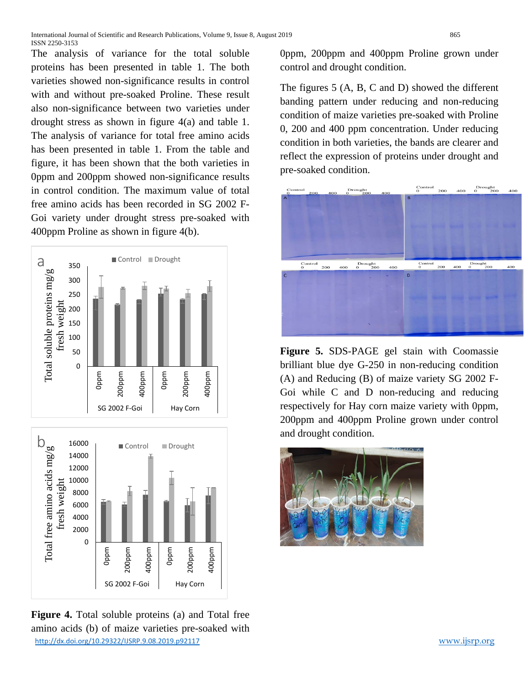The analysis of variance for the total soluble proteins has been presented in table 1. The both varieties showed non-significance results in control with and without pre-soaked Proline. These result also non-significance between two varieties under drought stress as shown in figure 4(a) and table 1. The analysis of variance for total free amino acids has been presented in table 1. From the table and figure, it has been shown that the both varieties in 0ppm and 200ppm showed non-significance results in control condition. The maximum value of total free amino acids has been recorded in SG 2002 F-Goi variety under drought stress pre-soaked with 400ppm Proline as shown in figure 4(b).



<http://dx.doi.org/10.29322/IJSRP.9.08.2019.p92117> [www.ijsrp.org](http://ijsrp.org/) **Figure 4.** Total soluble proteins (a) and Total free amino acids (b) of maize varieties pre-soaked with

0ppm, 200ppm and 400ppm Proline grown under control and drought condition.

The figures 5 (A, B, C and D) showed the different banding pattern under reducing and non-reducing condition of maize varieties pre-soaked with Proline 0, 200 and 400 ppm concentration. Under reducing condition in both varieties, the bands are clearer and reflect the expression of proteins under drought and pre-soaked condition.



**Figure 5.** SDS-PAGE gel stain with Coomassie brilliant blue dye G-250 in non-reducing condition (A) and Reducing (B) of maize variety SG 2002 F-Goi while C and D non-reducing and reducing respectively for Hay corn maize variety with 0ppm, 200ppm and 400ppm Proline grown under control and drought condition.

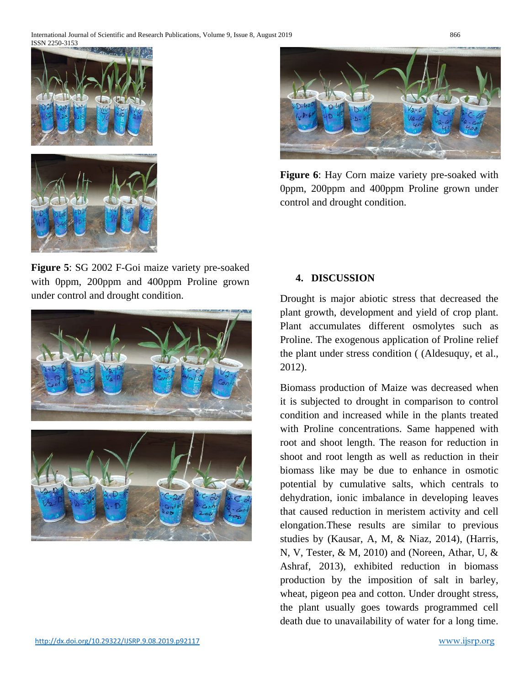

**Figure 6**: Hay Corn maize variety pre-soaked with 0ppm, 200ppm and 400ppm Proline grown under control and drought condition.

**Figure 5**: SG 2002 F-Goi maize variety pre-soaked with 0ppm, 200ppm and 400ppm Proline grown under control and drought condition.



#### **4. DISCUSSION**

Drought is major abiotic stress that decreased the plant growth, development and yield of crop plant. Plant accumulates different osmolytes such as Proline. The exogenous application of Proline relief the plant under stress condition ( (Aldesuquy, et al., 2012).

Biomass production of Maize was decreased when it is subjected to drought in comparison to control condition and increased while in the plants treated with Proline concentrations. Same happened with root and shoot length. The reason for reduction in shoot and root length as well as reduction in their biomass like may be due to enhance in osmotic potential by cumulative salts, which centrals to dehydration, ionic imbalance in developing leaves that caused reduction in meristem activity and cell elongation.These results are similar to previous studies by (Kausar, A, M, & Niaz, 2014), (Harris, N, V, Tester, & M, 2010) and (Noreen, Athar, U, & Ashraf, 2013), exhibited reduction in biomass production by the imposition of salt in barley, wheat, pigeon pea and cotton. Under drought stress, the plant usually goes towards programmed cell death due to unavailability of water for a long time.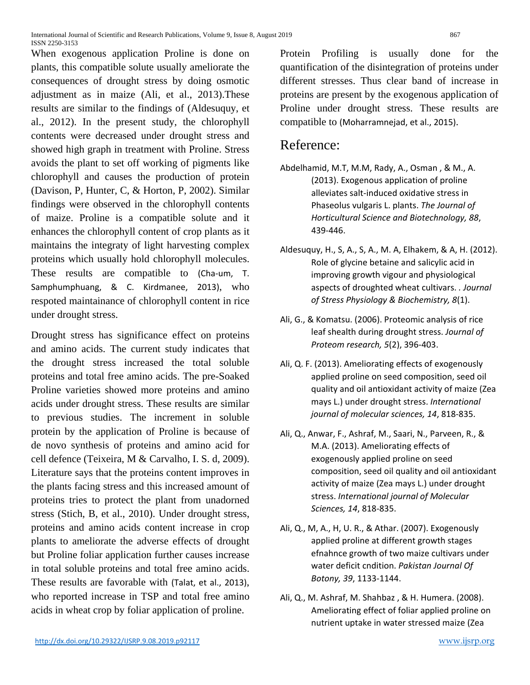When exogenous application Proline is done on plants, this compatible solute usually ameliorate the consequences of drought stress by doing osmotic adjustment as in maize (Ali, et al., 2013).These results are similar to the findings of (Aldesuquy, et al., 2012). In the present study, the chlorophyll contents were decreased under drought stress and showed high graph in treatment with Proline. Stress avoids the plant to set off working of pigments like chlorophyll and causes the production of protein (Davison, P, Hunter, C, & Horton, P, 2002). Similar findings were observed in the chlorophyll contents of maize. Proline is a compatible solute and it enhances the chlorophyll content of crop plants as it maintains the integraty of light harvesting complex proteins which usually hold chlorophyll molecules. These results are compatible to (Cha-um, T. Samphumphuang, & C. Kirdmanee, 2013), who respoted maintainance of chlorophyll content in rice under drought stress.

Drought stress has significance effect on proteins and amino acids. The current study indicates that the drought stress increased the total soluble proteins and total free amino acids. The pre-Soaked Proline varieties showed more proteins and amino acids under drought stress. These results are similar to previous studies. The increment in soluble protein by the application of Proline is because of de novo synthesis of proteins and amino acid for cell defence (Teixeira, M & Carvalho, I. S. d, 2009). Literature says that the proteins content improves in the plants facing stress and this increased amount of proteins tries to protect the plant from unadorned stress (Stich, B, et al., 2010). Under drought stress, proteins and amino acids content increase in crop plants to ameliorate the adverse effects of drought but Proline foliar application further causes increase in total soluble proteins and total free amino acids. These results are favorable with (Talat, et al., 2013), who reported increase in TSP and total free amino acids in wheat crop by foliar application of proline.

Protein Profiling is usually done for the quantification of the disintegration of proteins under different stresses. Thus clear band of increase in proteins are present by the exogenous application of Proline under drought stress. These results are compatible to (Moharramnejad, et al., 2015).

# Reference:

- Abdelhamid, M.T, M.M, Rady, A., Osman , & M., A. (2013). Exogenous application of proline alleviates salt-induced oxidative stress in Phaseolus vulgaris L. plants. *The Journal of Horticultural Science and Biotechnology, 88*, 439-446.
- Aldesuquy, H., S, A., S, A., M. A, Elhakem, & A, H. (2012). Role of glycine betaine and salicylic acid in improving growth vigour and physiological aspects of droughted wheat cultivars. *. Journal of Stress Physiology & Biochemistry, 8*(1).
- Ali, G., & Komatsu. (2006). Proteomic analysis of rice leaf shealth during drought stress. *Journal of Proteom research, 5*(2), 396-403.
- Ali, Q. F. (2013). Ameliorating effects of exogenously applied proline on seed composition, seed oil quality and oil antioxidant activity of maize (Zea mays L.) under drought stress. *International journal of molecular sciences, 14*, 818-835.
- Ali, Q., Anwar, F., Ashraf, M., Saari, N., Parveen, R., & M.A. (2013). Ameliorating effects of exogenously applied proline on seed composition, seed oil quality and oil antioxidant activity of maize (Zea mays L.) under drought stress. *International journal of Molecular Sciences, 14*, 818-835.
- Ali, Q., M, A., H, U. R., & Athar. (2007). Exogenously applied proline at different growth stages efnahnce growth of two maize cultivars under water deficit cndition. *Pakistan Journal Of Botony, 39*, 1133-1144.
- Ali, Q., M. Ashraf, M. Shahbaz , & H. Humera. (2008). Ameliorating effect of foliar applied proline on nutrient uptake in water stressed maize (Zea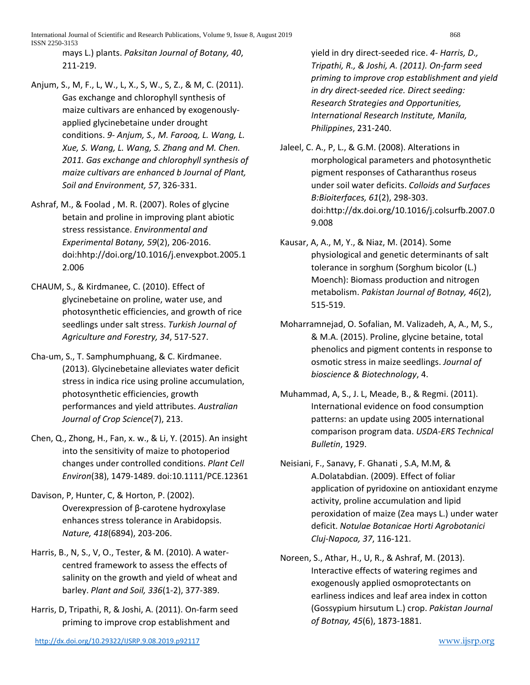International Journal of Scientific and Research Publications, Volume 9, Issue 8, August 2019 868 ISSN 2250-3153

mays L.) plants. *Paksitan Journal of Botany, 40*, 211-219.

- Anjum, S., M, F., L, W., L, X., S, W., S, Z., & M, C. (2011). Gas exchange and chlorophyll synthesis of maize cultivars are enhanced by exogenouslyapplied glycinebetaine under drought conditions. *9- Anjum, S., M. Farooq, L. Wang, L. Xue, S. Wang, L. Wang, S. Zhang and M. Chen. 2011. Gas exchange and chlorophyll synthesis of maize cultivars are enhanced b Journal of Plant, Soil and Environment, 57*, 326-331.
- Ashraf, M., & Foolad , M. R. (2007). Roles of glycine betain and proline in improving plant abiotic stress ressistance. *Environmental and Experimental Botany, 59*(2), 206-2016. doi:hhtp://doi.org/10.1016/j.envexpbot.2005.1 2.006
- CHAUM, S., & Kirdmanee, C. (2010). Effect of glycinebetaine on proline, water use, and photosynthetic efficiencies, and growth of rice seedlings under salt stress. *Turkish Journal of Agriculture and Forestry, 34*, 517-527.
- Cha-um, S., T. Samphumphuang, & C. Kirdmanee. (2013). Glycinebetaine alleviates water deficit stress in indica rice using proline accumulation, photosynthetic efficiencies, growth performances and yield attributes. *Australian Journal of Crop Science*(7), 213.
- Chen, Q., Zhong, H., Fan, x. w., & Li, Y. (2015). An insight into the sensitivity of maize to photoperiod changes under controlled conditions. *Plant Cell Environ*(38), 1479-1489. doi:10.1111/PCE.12361
- Davison, P, Hunter, C, & Horton, P. (2002). Overexpression of β-carotene hydroxylase enhances stress tolerance in Arabidopsis. *Nature, 418*(6894), 203-206.
- Harris, B., N, S., V, O., Tester, & M. (2010). A watercentred framework to assess the effects of salinity on the growth and yield of wheat and barley. *Plant and Soil, 336*(1-2), 377-389.
- Harris, D, Tripathi, R, & Joshi, A. (2011). On-farm seed priming to improve crop establishment and

yield in dry direct-seeded rice. *4- Harris, D., Tripathi, R., & Joshi, A. (2011). On-farm seed priming to improve crop establishment and yield in dry direct-seeded rice. Direct seeding: Research Strategies and Opportunities, International Research Institute, Manila, Philippines*, 231-240.

- Jaleel, C. A., P, L., & G.M. (2008). Alterations in morphological parameters and photosynthetic pigment responses of Catharanthus roseus under soil water deficits. *Colloids and Surfaces B:Bioiterfaces, 61*(2), 298-303. doi:http://dx.doi.org/10.1016/j.colsurfb.2007.0 9.008
- Kausar, A, A., M, Y., & Niaz, M. (2014). Some physiological and genetic determinants of salt tolerance in sorghum (Sorghum bicolor (L.) Moench): Biomass production and nitrogen metabolism. *Pakistan Journal of Botnay, 46*(2), 515-519.
- Moharramnejad, O. Sofalian, M. Valizadeh, A, A., M, S., & M.A. (2015). Proline, glycine betaine, total phenolics and pigment contents in response to osmotic stress in maize seedlings. *Journal of bioscience & Biotechnology*, 4.
- Muhammad, A, S., J. L, Meade, B., & Regmi. (2011). International evidence on food consumption patterns: an update using 2005 international comparison program data. *USDA-ERS Technical Bulletin*, 1929.
- Neisiani, F., Sanavy, F. Ghanati , S.A, M.M, & A.Dolatabdian. (2009). Effect of foliar application of pyridoxine on antioxidant enzyme activity, proline accumulation and lipid peroxidation of maize (Zea mays L.) under water deficit. *Notulae Botanicae Horti Agrobotanici Cluj-Napoca, 37*, 116-121.
- Noreen, S., Athar, H., U, R., & Ashraf, M. (2013). Interactive effects of watering regimes and exogenously applied osmoprotectants on earliness indices and leaf area index in cotton (Gossypium hirsutum L.) crop. *Pakistan Journal of Botnay, 45*(6), 1873-1881.